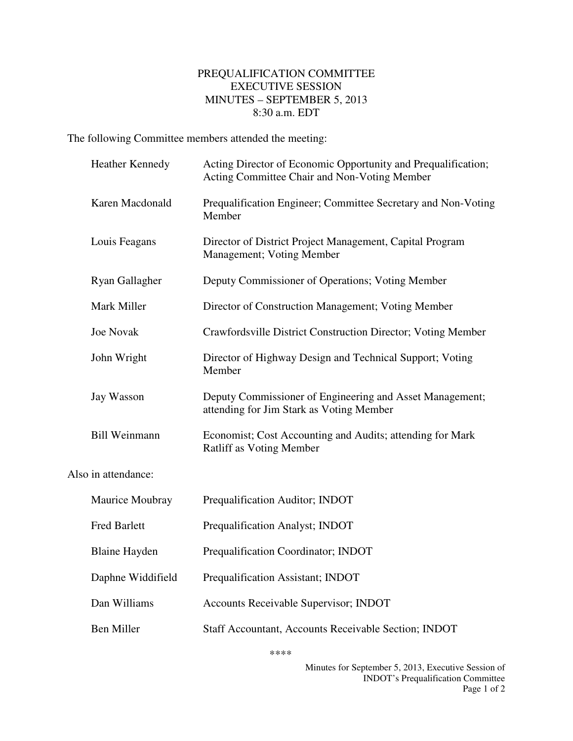## PREQUALIFICATION COMMITTEE EXECUTIVE SESSION MINUTES – SEPTEMBER 5, 2013 8:30 a.m. EDT

The following Committee members attended the meeting:

|                     | Heather Kennedy      | Acting Director of Economic Opportunity and Prequalification;<br>Acting Committee Chair and Non-Voting Member |
|---------------------|----------------------|---------------------------------------------------------------------------------------------------------------|
|                     | Karen Macdonald      | Prequalification Engineer; Committee Secretary and Non-Voting<br>Member                                       |
|                     | Louis Feagans        | Director of District Project Management, Capital Program<br>Management; Voting Member                         |
|                     | Ryan Gallagher       | Deputy Commissioner of Operations; Voting Member                                                              |
|                     | Mark Miller          | Director of Construction Management; Voting Member                                                            |
|                     | <b>Joe Novak</b>     | Crawfordsville District Construction Director; Voting Member                                                  |
|                     | John Wright          | Director of Highway Design and Technical Support; Voting<br>Member                                            |
|                     | Jay Wasson           | Deputy Commissioner of Engineering and Asset Management;<br>attending for Jim Stark as Voting Member          |
|                     | <b>Bill Weinmann</b> | Economist; Cost Accounting and Audits; attending for Mark<br>Ratliff as Voting Member                         |
| Also in attendance: |                      |                                                                                                               |
|                     | Maurice Moubray      | Prequalification Auditor; INDOT                                                                               |
|                     | <b>Fred Barlett</b>  | Prequalification Analyst; INDOT                                                                               |
|                     | <b>Blaine Hayden</b> | Prequalification Coordinator; INDOT                                                                           |
|                     | Daphne Widdifield    | Prequalification Assistant; INDOT                                                                             |
|                     | Dan Williams         | Accounts Receivable Supervisor; INDOT                                                                         |
|                     | <b>Ben Miller</b>    | Staff Accountant, Accounts Receivable Section; INDOT                                                          |

\*\*\*\*